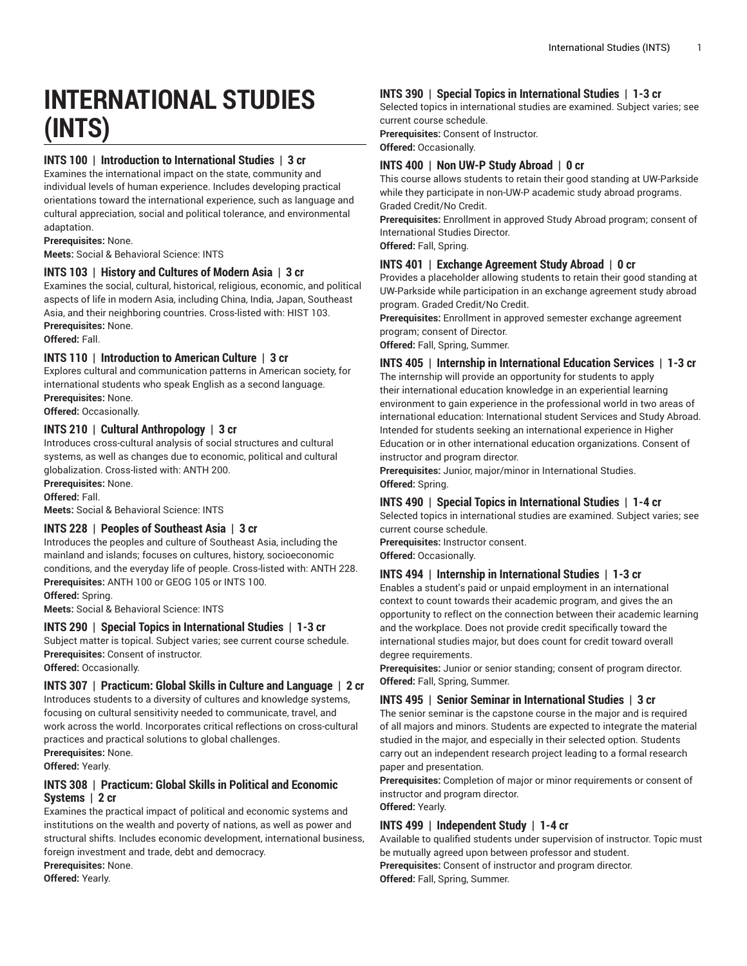# **INTERNATIONAL STUDIES (INTS)**

## **INTS 100 | Introduction to International Studies | 3 cr**

Examines the international impact on the state, community and individual levels of human experience. Includes developing practical orientations toward the international experience, such as language and cultural appreciation, social and political tolerance, and environmental adaptation.

**Prerequisites:** None.

**Meets:** Social & Behavioral Science: INTS

### **INTS 103 | History and Cultures of Modern Asia | 3 cr**

Examines the social, cultural, historical, religious, economic, and political aspects of life in modern Asia, including China, India, Japan, Southeast Asia, and their neighboring countries. Cross-listed with: HIST 103. **Prerequisites:** None.

**Offered:** Fall.

### **INTS 110 | Introduction to American Culture | 3 cr**

Explores cultural and communication patterns in American society, for international students who speak English as a second language. **Prerequisites:** None.

**Offered:** Occasionally.

## **INTS 210 | Cultural Anthropology | 3 cr**

Introduces cross-cultural analysis of social structures and cultural systems, as well as changes due to economic, political and cultural globalization. Cross-listed with: ANTH 200.

**Prerequisites:** None.

**Offered:** Fall.

**Meets:** Social & Behavioral Science: INTS

### **INTS 228 | Peoples of Southeast Asia | 3 cr**

Introduces the peoples and culture of Southeast Asia, including the mainland and islands; focuses on cultures, history, socioeconomic conditions, and the everyday life of people. Cross-listed with: ANTH 228. **Prerequisites:** ANTH 100 or GEOG 105 or INTS 100.

**Offered:** Spring.

**Meets:** Social & Behavioral Science: INTS

### **INTS 290 | Special Topics in International Studies | 1-3 cr**

Subject matter is topical. Subject varies; see current course schedule. **Prerequisites:** Consent of instructor.

**Offered:** Occasionally.

### **INTS 307 | Practicum: Global Skills in Culture and Language | 2 cr**

Introduces students to a diversity of cultures and knowledge systems, focusing on cultural sensitivity needed to communicate, travel, and work across the world. Incorporates critical reflections on cross-cultural practices and practical solutions to global challenges.

**Prerequisites:** None.

**Offered:** Yearly.

## **INTS 308 | Practicum: Global Skills in Political and Economic Systems | 2 cr**

Examines the practical impact of political and economic systems and institutions on the wealth and poverty of nations, as well as power and structural shifts. Includes economic development, international business, foreign investment and trade, debt and democracy.

**Prerequisites:** None.

**Offered:** Yearly.

## **INTS 390 | Special Topics in International Studies | 1-3 cr**

Selected topics in international studies are examined. Subject varies; see current course schedule.

**Prerequisites:** Consent of Instructor.

**Offered:** Occasionally.

## **INTS 400 | Non UW-P Study Abroad | 0 cr**

This course allows students to retain their good standing at UW-Parkside while they participate in non-UW-P academic study abroad programs. Graded Credit/No Credit.

**Prerequisites:** Enrollment in approved Study Abroad program; consent of International Studies Director.

**Offered:** Fall, Spring.

## **INTS 401 | Exchange Agreement Study Abroad | 0 cr**

Provides a placeholder allowing students to retain their good standing at UW-Parkside while participation in an exchange agreement study abroad program. Graded Credit/No Credit.

**Prerequisites:** Enrollment in approved semester exchange agreement program; consent of Director.

**Offered:** Fall, Spring, Summer.

**INTS 405 | Internship in International Education Services | 1-3 cr**

The internship will provide an opportunity for students to apply their international education knowledge in an experiential learning environment to gain experience in the professional world in two areas of international education: International student Services and Study Abroad. Intended for students seeking an international experience in Higher Education or in other international education organizations. Consent of instructor and program director.

**Prerequisites:** Junior, major/minor in International Studies. **Offered:** Spring.

### **INTS 490 | Special Topics in International Studies | 1-4 cr**

Selected topics in international studies are examined. Subject varies; see current course schedule.

**Prerequisites:** Instructor consent.

**Offered:** Occasionally.

## **INTS 494 | Internship in International Studies | 1-3 cr**

Enables a student's paid or unpaid employment in an international context to count towards their academic program, and gives the an opportunity to reflect on the connection between their academic learning and the workplace. Does not provide credit specifically toward the international studies major, but does count for credit toward overall degree requirements.

**Prerequisites:** Junior or senior standing; consent of program director. **Offered:** Fall, Spring, Summer.

#### **INTS 495 | Senior Seminar in International Studies | 3 cr**

The senior seminar is the capstone course in the major and is required of all majors and minors. Students are expected to integrate the material studied in the major, and especially in their selected option. Students carry out an independent research project leading to a formal research paper and presentation.

**Prerequisites:** Completion of major or minor requirements or consent of instructor and program director.

**Offered:** Yearly.

## **INTS 499 | Independent Study | 1-4 cr**

Available to qualified students under supervision of instructor. Topic must be mutually agreed upon between professor and student. **Prerequisites:** Consent of instructor and program director. **Offered:** Fall, Spring, Summer.